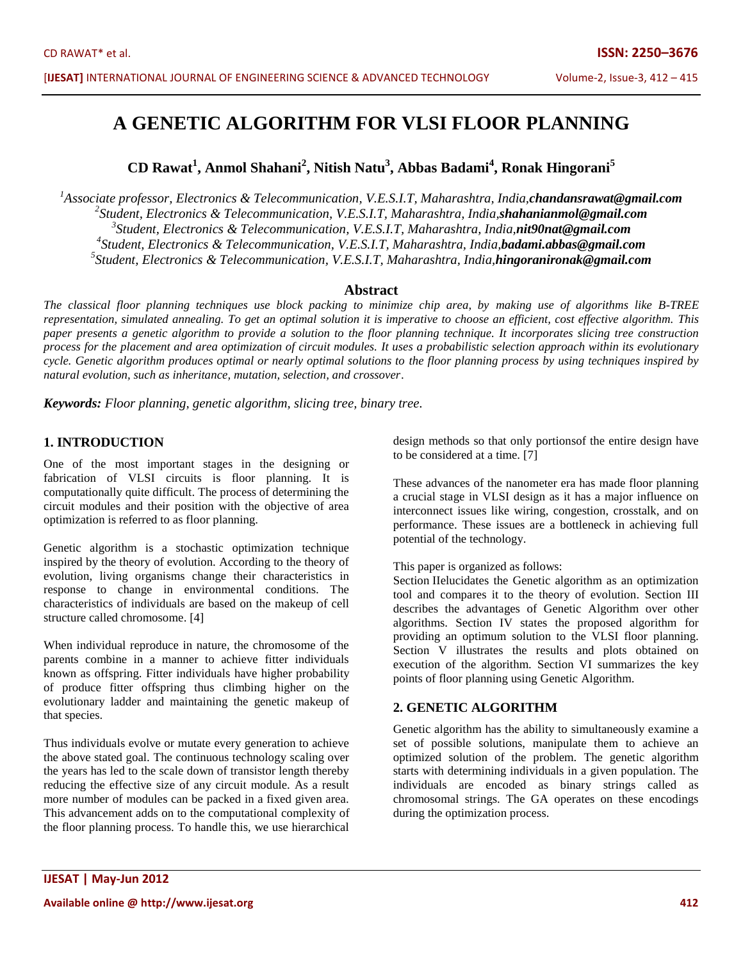# **A GENETIC ALGORITHM FOR VLSI FLOOR PLANNING**

**CD Rawat<sup>1</sup> , Anmol Shahani<sup>2</sup> , Nitish Natu<sup>3</sup> , Abbas Badami<sup>4</sup> , Ronak Hingorani<sup>5</sup>**

*Associate professor, Electronics & Telecommunication, V.E.S.I.T, Maharashtra, India,chandansrawat@gmail.com Student, Electronics & Telecommunication, V.E.S.I.T, Maharashtra, India,shahanianmol@gmail.com Student, Electronics & Telecommunication, V.E.S.I.T, Maharashtra, India,nit90nat@gmail.com Student, Electronics & Telecommunication, V.E.S.I.T, Maharashtra, India,badami.abbas@gmail.com Student, Electronics & Telecommunication, V.E.S.I.T, Maharashtra, India,hingoranironak@gmail.com*

#### **Abstract**

*The classical floor planning techniques use block packing to minimize chip area, by making use of algorithms like B-TREE representation, simulated annealing. To get an optimal solution it is imperative to choose an efficient, cost effective algorithm. This paper presents a genetic algorithm to provide a solution to the floor planning technique. It incorporates slicing tree construction process for the placement and area optimization of circuit modules. It uses a probabilistic selection approach within its evolutionary cycle. Genetic algorithm produces optimal or nearly optimal solutions to the floor planning process by using techniques inspired by natural evolution, such as inheritance, mutation, selection, and crossover*.

*Keywords: Floor planning, genetic algorithm, slicing tree, binary tree.*

### **1. INTRODUCTION**

One of the most important stages in the designing or fabrication of VLSI circuits is floor planning. It is computationally quite difficult. The process of determining the circuit modules and their position with the objective of area optimization is referred to as floor planning.

Genetic algorithm is a stochastic optimization technique inspired by the theory of evolution. According to the theory of evolution, living organisms change their characteristics in response to change in environmental conditions. The characteristics of individuals are based on the makeup of cell structure called chromosome. [4]

When individual reproduce in nature, the chromosome of the parents combine in a manner to achieve fitter individuals known as offspring. Fitter individuals have higher probability of produce fitter offspring thus climbing higher on the evolutionary ladder and maintaining the genetic makeup of that species.

Thus individuals evolve or mutate every generation to achieve the above stated goal. The continuous technology scaling over the years has led to the scale down of transistor length thereby reducing the effective size of any circuit module. As a result more number of modules can be packed in a fixed given area. This advancement adds on to the computational complexity of the floor planning process. To handle this, we use hierarchical design methods so that only portionsof the entire design have to be considered at a time. [7]

These advances of the nanometer era has made floor planning a crucial stage in VLSI design as it has a major influence on interconnect issues like wiring, congestion, crosstalk, and on performance. These issues are a bottleneck in achieving full potential of the technology.

This paper is organized as follows:

Section IIelucidates the Genetic algorithm as an optimization tool and compares it to the theory of evolution. Section III describes the advantages of Genetic Algorithm over other algorithms. Section IV states the proposed algorithm for providing an optimum solution to the VLSI floor planning. Section V illustrates the results and plots obtained on execution of the algorithm. Section VI summarizes the key points of floor planning using Genetic Algorithm.

## **2. GENETIC ALGORITHM**

Genetic algorithm has the ability to simultaneously examine a set of possible solutions, manipulate them to achieve an optimized solution of the problem. The genetic algorithm starts with determining individuals in a given population. The individuals are encoded as binary strings called as chromosomal strings. The GA operates on these encodings during the optimization process.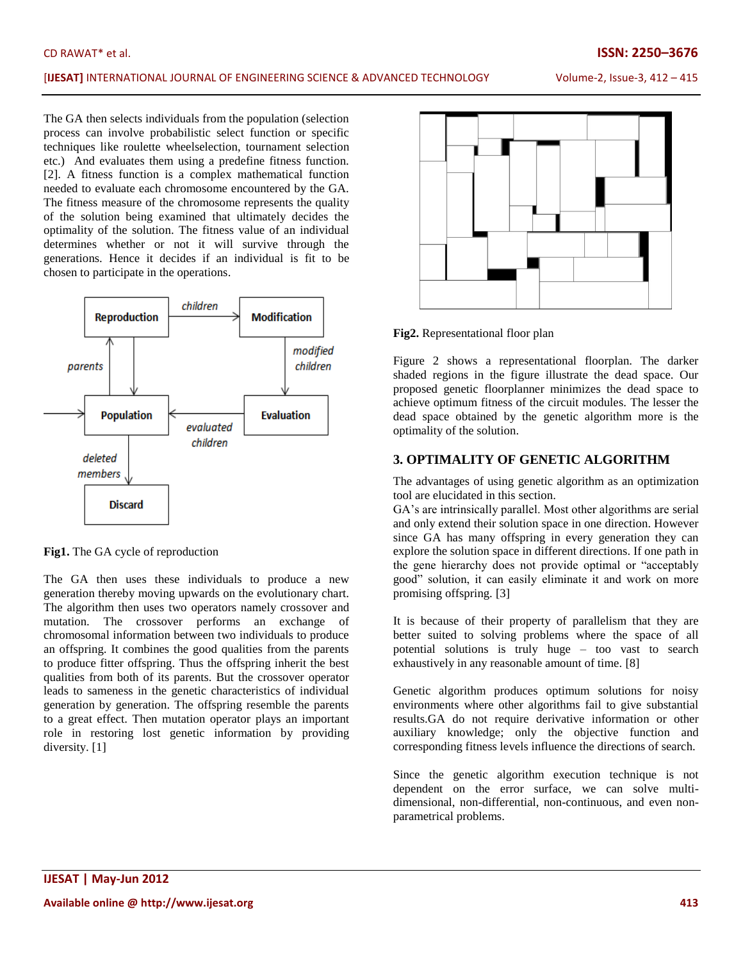#### [**IJESAT]** INTERNATIONAL JOURNAL OF ENGINEERING SCIENCE & ADVANCED TECHNOLOGY Volume-2, Issue-3, 412 – 415

The GA then selects individuals from the population (selection process can involve probabilistic select function or specific techniques like roulette wheelselection, tournament selection etc.) And evaluates them using a predefine fitness function. [2]. A fitness function is a complex mathematical function needed to evaluate each chromosome encountered by the GA. The fitness measure of the chromosome represents the quality of the solution being examined that ultimately decides the optimality of the solution. The fitness value of an individual determines whether or not it will survive through the generations. Hence it decides if an individual is fit to be chosen to participate in the operations.



**Fig1.** The GA cycle of reproduction

The GA then uses these individuals to produce a new generation thereby moving upwards on the evolutionary chart. The algorithm then uses two operators namely crossover and mutation. The crossover performs an exchange of chromosomal information between two individuals to produce an offspring. It combines the good qualities from the parents to produce fitter offspring. Thus the offspring inherit the best qualities from both of its parents. But the crossover operator leads to sameness in the genetic characteristics of individual generation by generation. The offspring resemble the parents to a great effect. Then mutation operator plays an important role in restoring lost genetic information by providing diversity. [1]



**Fig2.** Representational floor plan

Figure 2 shows a representational floorplan. The darker shaded regions in the figure illustrate the dead space. Our proposed genetic floorplanner minimizes the dead space to achieve optimum fitness of the circuit modules. The lesser the dead space obtained by the genetic algorithm more is the optimality of the solution.

### **3. OPTIMALITY OF GENETIC ALGORITHM**

The advantages of using genetic algorithm as an optimization tool are elucidated in this section.

GA"s are intrinsically parallel. Most other algorithms are serial and only extend their solution space in one direction. However since GA has many offspring in every generation they can explore the solution space in different directions. If one path in the gene hierarchy does not provide optimal or "acceptably good" solution, it can easily eliminate it and work on more promising offspring. [3]

It is because of their property of parallelism that they are better suited to solving problems where the space of all potential solutions is truly huge – too vast to search exhaustively in any reasonable amount of time. [8]

Genetic algorithm produces optimum solutions for noisy environments where other algorithms fail to give substantial results.GA do not require derivative information or other auxiliary knowledge; only the objective function and corresponding fitness levels influence the directions of search.

Since the genetic algorithm execution technique is not dependent on the error surface, we can solve multidimensional, non-differential, non-continuous, and even nonparametrical problems.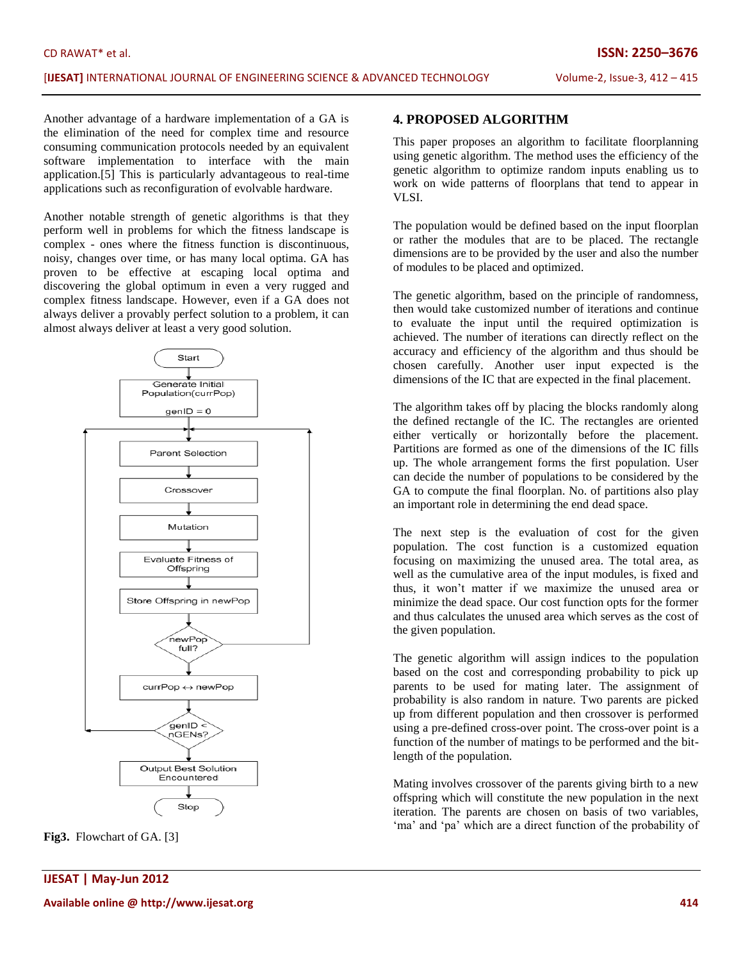Another advantage of a hardware implementation of a GA is the elimination of the need for complex time and resource consuming communication protocols needed by an equivalent software implementation to interface with the main application.[5] This is particularly advantageous to real-time applications such as reconfiguration of evolvable hardware.

Another notable strength of genetic algorithms is that they perform well in problems for which the fitness landscape is complex - ones where the fitness function is discontinuous, noisy, changes over time, or has many local optima. GA has proven to be effective at escaping local optima and discovering the global optimum in even a very rugged and complex fitness landscape. However, even if a GA does not always deliver a provably perfect solution to a problem, it can almost always deliver at least a very good solution.





## **4. PROPOSED ALGORITHM**

This paper proposes an algorithm to facilitate floorplanning using genetic algorithm. The method uses the efficiency of the genetic algorithm to optimize random inputs enabling us to work on wide patterns of floorplans that tend to appear in VLSI.

The population would be defined based on the input floorplan or rather the modules that are to be placed. The rectangle dimensions are to be provided by the user and also the number of modules to be placed and optimized.

The genetic algorithm, based on the principle of randomness, then would take customized number of iterations and continue to evaluate the input until the required optimization is achieved. The number of iterations can directly reflect on the accuracy and efficiency of the algorithm and thus should be chosen carefully. Another user input expected is the dimensions of the IC that are expected in the final placement.

The algorithm takes off by placing the blocks randomly along the defined rectangle of the IC. The rectangles are oriented either vertically or horizontally before the placement. Partitions are formed as one of the dimensions of the IC fills up. The whole arrangement forms the first population. User can decide the number of populations to be considered by the GA to compute the final floorplan. No. of partitions also play an important role in determining the end dead space.

The next step is the evaluation of cost for the given population. The cost function is a customized equation focusing on maximizing the unused area. The total area, as well as the cumulative area of the input modules, is fixed and thus, it won"t matter if we maximize the unused area or minimize the dead space. Our cost function opts for the former and thus calculates the unused area which serves as the cost of the given population.

The genetic algorithm will assign indices to the population based on the cost and corresponding probability to pick up parents to be used for mating later. The assignment of probability is also random in nature. Two parents are picked up from different population and then crossover is performed using a pre-defined cross-over point. The cross-over point is a function of the number of matings to be performed and the bitlength of the population.

Mating involves crossover of the parents giving birth to a new offspring which will constitute the new population in the next iteration. The parents are chosen on basis of two variables, "ma" and "pa" which are a direct function of the probability of